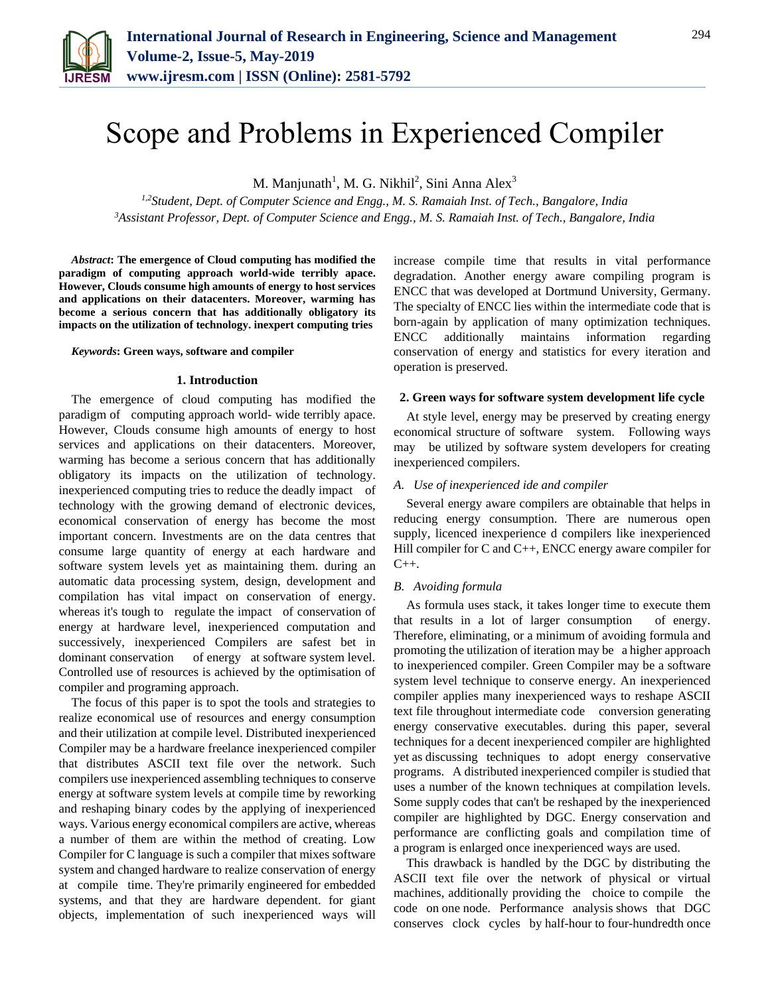

# Scope and Problems in Experienced Compiler

M. Manjunath<sup>1</sup>, M. G. Nikhil<sup>2</sup>, Sini Anna Alex<sup>3</sup>

*1,2Student, Dept. of Computer Science and Engg., M. S. Ramaiah Inst. of Tech., Bangalore, India <sup>3</sup>Assistant Professor, Dept. of Computer Science and Engg., M. S. Ramaiah Inst. of Tech., Bangalore, India*

*Abstract***: The emergence of Cloud computing has modified the paradigm of computing approach world-wide terribly apace. However, Clouds consume high amounts of energy to host services and applications on their datacenters. Moreover, warming has become a serious concern that has additionally obligatory its impacts on the utilization of technology. inexpert computing tries**

### *Keywords***: Green ways, software and compiler**

#### **1. Introduction**

The emergence of cloud computing has modified the paradigm of computing approach world- wide terribly apace. However, Clouds consume high amounts of energy to host services and applications on their datacenters. Moreover, warming has become a serious concern that has additionally obligatory its impacts on the utilization of technology. inexperienced computing tries to reduce the deadly impact of technology with the growing demand of electronic devices, economical conservation of energy has become the most important concern. Investments are on the data centres that consume large quantity of energy at each hardware and software system levels yet as maintaining them. during an automatic data processing system, design, development and compilation has vital impact on conservation of energy. whereas it's tough to regulate the impact of conservation of energy at hardware level, inexperienced computation and successively, inexperienced Compilers are safest bet in dominant conservation of energy at software system level. Controlled use of resources is achieved by the optimisation of compiler and programing approach.

The focus of this paper is to spot the tools and strategies to realize economical use of resources and energy consumption and their utilization at compile level. Distributed inexperienced Compiler may be a hardware freelance inexperienced compiler that distributes ASCII text file over the network. Such compilers use inexperienced assembling techniques to conserve energy at software system levels at compile time by reworking and reshaping binary codes by the applying of inexperienced ways. Various energy economical compilers are active, whereas a number of them are within the method of creating. Low Compiler for C language is such a compiler that mixes software system and changed hardware to realize conservation of energy at compile time. They're primarily engineered for embedded systems, and that they are hardware dependent. for giant objects, implementation of such inexperienced ways will increase compile time that results in vital performance degradation. Another energy aware compiling program is ENCC that was developed at Dortmund University, Germany. The specialty of ENCC lies within the intermediate code that is born-again by application of many optimization techniques. ENCC additionally maintains information regarding conservation of energy and statistics for every iteration and operation is preserved.

#### **2. Green ways for software system development life cycle**

At style level, energy may be preserved by creating energy economical structure of software system. Following ways may be utilized by software system developers for creating inexperienced compilers.

## *A. Use of inexperienced ide and compiler*

Several energy aware compilers are obtainable that helps in reducing energy consumption. There are numerous open supply, licenced inexperience d compilers like inexperienced Hill compiler for C and C++, ENCC energy aware compiler for  $C_{++}$ .

### *B. Avoiding formula*

As formula uses stack, it takes longer time to execute them that results in a lot of larger consumption of energy. Therefore, eliminating, or a minimum of avoiding formula and promoting the utilization of iteration may be a higher approach to inexperienced compiler. Green Compiler may be a software system level technique to conserve energy. An inexperienced compiler applies many inexperienced ways to reshape ASCII text file throughout intermediate code conversion generating energy conservative executables. during this paper, several techniques for a decent inexperienced compiler are highlighted yet as discussing techniques to adopt energy conservative programs. A distributed inexperienced compiler is studied that uses a number of the known techniques at compilation levels. Some supply codes that can't be reshaped by the inexperienced compiler are highlighted by DGC. Energy conservation and performance are conflicting goals and compilation time of a program is enlarged once inexperienced ways are used.

This drawback is handled by the DGC by distributing the ASCII text file over the network of physical or virtual machines, additionally providing the choice to compile the code on one node. Performance analysis shows that DGC conserves clock cycles by half-hour to four-hundredth once